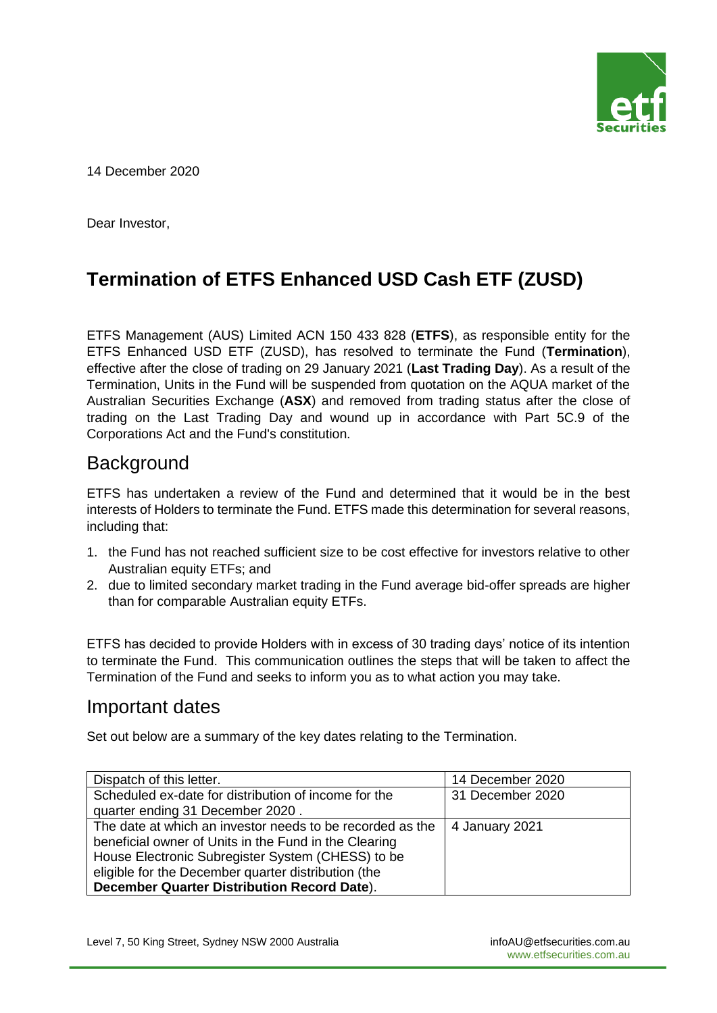

14 December 2020

Dear Investor,

# **Termination of ETFS Enhanced USD Cash ETF (ZUSD)**

ETFS Management (AUS) Limited ACN 150 433 828 (**ETFS**), as responsible entity for the ETFS Enhanced USD ETF (ZUSD), has resolved to terminate the Fund (**Termination**), effective after the close of trading on 29 January 2021 (**Last Trading Day**). As a result of the Termination, Units in the Fund will be suspended from quotation on the AQUA market of the Australian Securities Exchange (**ASX**) and removed from trading status after the close of trading on the Last Trading Day and wound up in accordance with Part 5C.9 of the Corporations Act and the Fund's constitution.

### **Background**

ETFS has undertaken a review of the Fund and determined that it would be in the best interests of Holders to terminate the Fund. ETFS made this determination for several reasons, including that:

- 1. the Fund has not reached sufficient size to be cost effective for investors relative to other Australian equity ETFs; and
- 2. due to limited secondary market trading in the Fund average bid-offer spreads are higher than for comparable Australian equity ETFs.

ETFS has decided to provide Holders with in excess of 30 trading days' notice of its intention to terminate the Fund. This communication outlines the steps that will be taken to affect the Termination of the Fund and seeks to inform you as to what action you may take.

### Important dates

Set out below are a summary of the key dates relating to the Termination.

| Dispatch of this letter.                                  | 14 December 2020 |
|-----------------------------------------------------------|------------------|
| Scheduled ex-date for distribution of income for the      | 31 December 2020 |
| quarter ending 31 December 2020.                          |                  |
| The date at which an investor needs to be recorded as the | 4 January 2021   |
| beneficial owner of Units in the Fund in the Clearing     |                  |
| House Electronic Subregister System (CHESS) to be         |                  |
| eligible for the December quarter distribution (the       |                  |
| December Quarter Distribution Record Date).               |                  |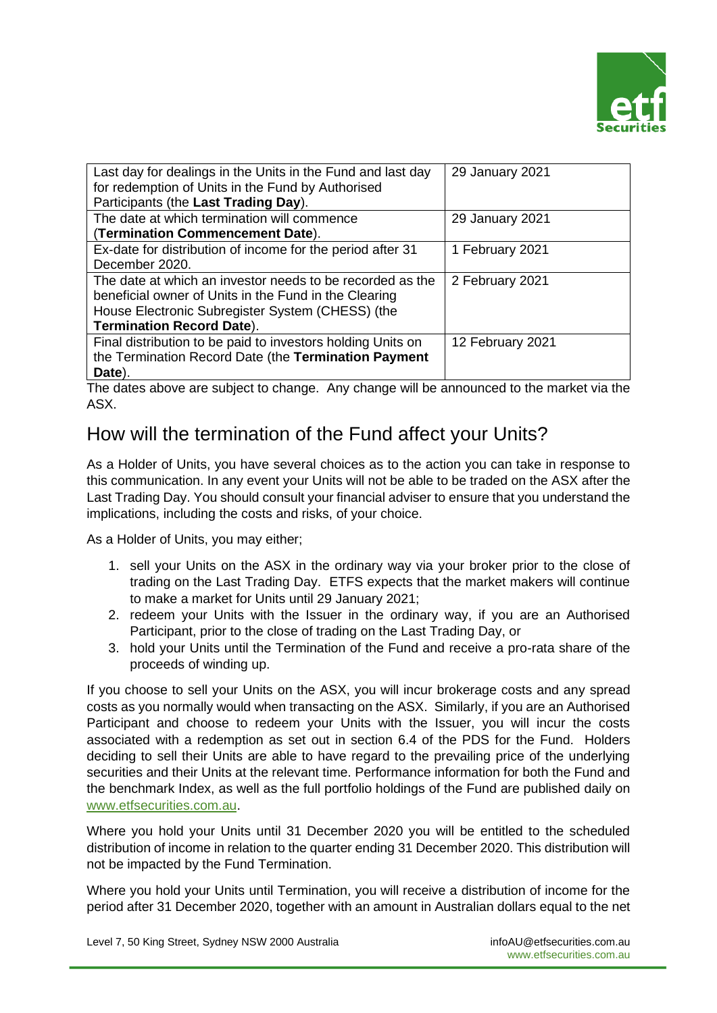

| Last day for dealings in the Units in the Fund and last day<br>for redemption of Units in the Fund by Authorised<br>Participants (the Last Trading Day).                                                   | 29 January 2021  |
|------------------------------------------------------------------------------------------------------------------------------------------------------------------------------------------------------------|------------------|
| The date at which termination will commence<br>(Termination Commencement Date).                                                                                                                            | 29 January 2021  |
| Ex-date for distribution of income for the period after 31<br>December 2020.                                                                                                                               | 1 February 2021  |
| The date at which an investor needs to be recorded as the<br>beneficial owner of Units in the Fund in the Clearing<br>House Electronic Subregister System (CHESS) (the<br><b>Termination Record Date).</b> | 2 February 2021  |
| Final distribution to be paid to investors holding Units on<br>the Termination Record Date (the Termination Payment<br>Date).                                                                              | 12 February 2021 |

The dates above are subject to change. Any change will be announced to the market via the ASX.

## How will the termination of the Fund affect your Units?

As a Holder of Units, you have several choices as to the action you can take in response to this communication. In any event your Units will not be able to be traded on the ASX after the Last Trading Day. You should consult your financial adviser to ensure that you understand the implications, including the costs and risks, of your choice.

As a Holder of Units, you may either;

- 1. sell your Units on the ASX in the ordinary way via your broker prior to the close of trading on the Last Trading Day. ETFS expects that the market makers will continue to make a market for Units until 29 January 2021;
- 2. redeem your Units with the Issuer in the ordinary way, if you are an Authorised Participant, prior to the close of trading on the Last Trading Day, or
- 3. hold your Units until the Termination of the Fund and receive a pro-rata share of the proceeds of winding up.

If you choose to sell your Units on the ASX, you will incur brokerage costs and any spread costs as you normally would when transacting on the ASX. Similarly, if you are an Authorised Participant and choose to redeem your Units with the Issuer, you will incur the costs associated with a redemption as set out in section 6.4 of the PDS for the Fund. Holders deciding to sell their Units are able to have regard to the prevailing price of the underlying securities and their Units at the relevant time. Performance information for both the Fund and the benchmark Index, as well as the full portfolio holdings of the Fund are published daily on [www.etfsecurities.com.au.](http://www.etfsecurities.com.au/)

Where you hold your Units until 31 December 2020 you will be entitled to the scheduled distribution of income in relation to the quarter ending 31 December 2020. This distribution will not be impacted by the Fund Termination.

Where you hold your Units until Termination, you will receive a distribution of income for the period after 31 December 2020, together with an amount in Australian dollars equal to the net